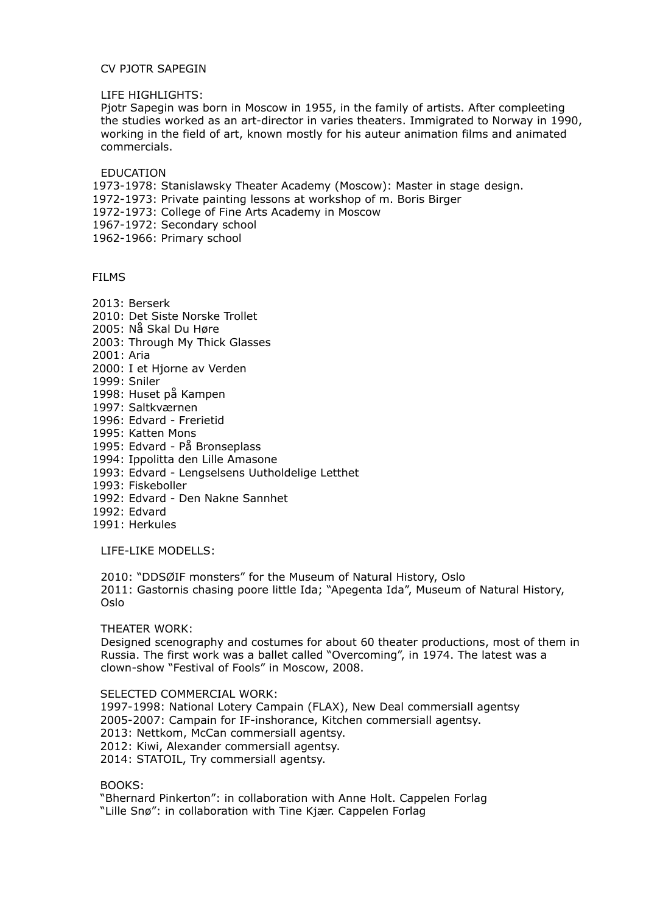## CV PJOTR SAPEGIN

LIFE HIGHLIGHTS:

Pjotr Sapegin was born in Moscow in 1955, in the family of artists. After compleeting the studies worked as an art-director in varies theaters. Immigrated to Norway in 1990, working in the field of art, known mostly for his auteur animation films and animated commercials.

EDUCATION

1973-1978: Stanislawsky Theater Academy (Moscow): Master in stage design.

- 1972-1973: Private painting lessons at workshop of m. Boris Birger
- 1972-1973: College of Fine Arts Academy in Moscow
- 1967-1972: Secondary school

1962-1966: Primary school

FILMS

- 2013: Berserk 2010: Det Siste Norske Trollet
- 2005: Nå Skal Du Høre
- 2003: Through My Thick Glasses

2001: Aria

- 2000: I et Hjorne av Verden
- 1999: Sniler
- 1998: Huset på Kampen
- 1997: Saltkværnen
- 1996: Edvard Frerietid
- 1995: Katten Mons
- 1995: Edvard På Bronseplass
- 1994: Ippolitta den Lille Amasone
- 1993: Edvard Lengselsens Uutholdelige Letthet
- 1993: Fiskeboller
- 1992: Edvard Den Nakne Sannhet
- 1992: Edvard
- 1991: Herkules

LIFE-LIKE MODELLS:

2010: "DDSØIF monsters" for the Museum of Natural History, Oslo 2011: Gastornis chasing poore little Ida; "Apegenta Ida", Museum of Natural History, Oslo

THEATER WORK:

Designed scenography and costumes for about 60 theater productions, most of them in Russia. The first work was a ballet called "Overcoming", in 1974. The latest was a clown-show "Festival of Fools" in Moscow, 2008.

SELECTED COMMERCIAL WORK:

 1997-1998: National Lotery Campain (FLAX), New Deal commersiall agentsy 2005-2007: Campain for IF-inshorance, Kitchen commersiall agentsy. 2013: Nettkom, McCan commersiall agentsy. 2012: Kiwi, Alexander commersiall agentsy. 2014: STATOIL, Try commersiall agentsy.

BOOKS:

 "Bhernard Pinkerton": in collaboration with Anne Holt. Cappelen Forlag "Lille Snø": in collaboration with Tine Kjær. Cappelen Forlag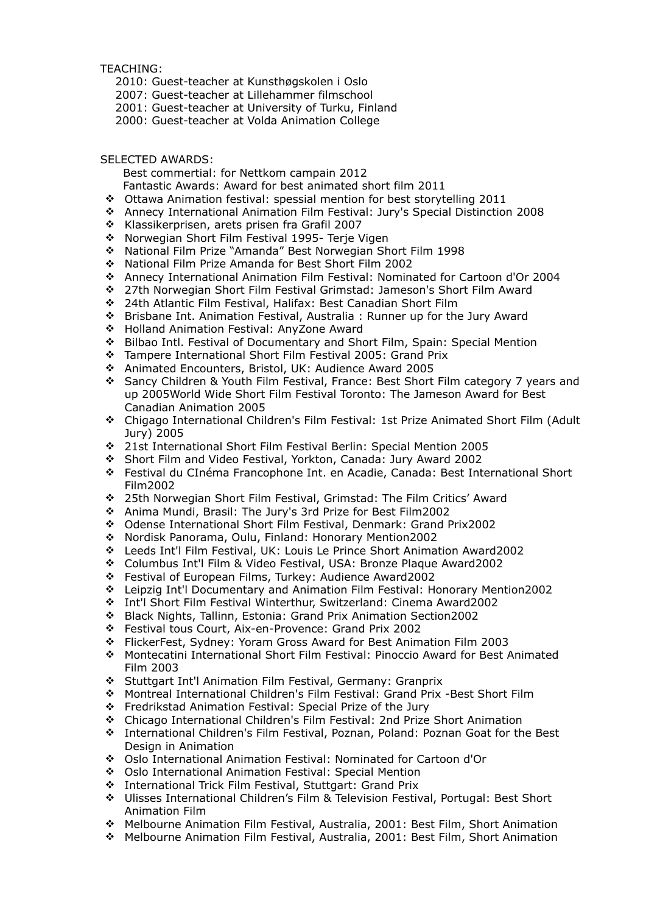TEACHING:

- 2010: Guest-teacher at Kunsthøgskolen i Oslo
- 2007: Guest-teacher at Lillehammer filmschool
- 2001: Guest-teacher at University of Turku, Finland
- 2000: Guest-teacher at Volda Animation College

## SELECTED AWARDS:

Best commertial: for Nettkom campain 2012

- Fantastic Awards: Award for best animated short film 2011
- Ottawa Animation festival: spessial mention for best storytelling 2011
- Annecy International Animation Film Festival: Jury's Special Distinction 2008
- \* Klassikerprisen, arets prisen fra Grafil 2007
- ◆ Norwegian Short Film Festival 1995- Terie Vigen
- National Film Prize "Amanda" Best Norwegian Short Film 1998
- National Film Prize Amanda for Best Short Film 2002
- Annecy International Animation Film Festival: Nominated for Cartoon d'Or 2004
- 27th Norwegian Short Film Festival Grimstad: Jameson's Short Film Award
- 24th Atlantic Film Festival, Halifax: Best Canadian Short Film
- Brisbane Int. Animation Festival, Australia : Runner up for the Jury Award
- Holland Animation Festival: AnyZone Award
- Bilbao Intl. Festival of Documentary and Short Film, Spain: Special Mention
- Tampere International Short Film Festival 2005: Grand Prix
- Animated Encounters, Bristol, UK: Audience Award 2005
- Sancy Children & Youth Film Festival, France: Best Short Film category 7 years and up 2005World Wide Short Film Festival Toronto: The Jameson Award for Best Canadian Animation 2005
- Chigago International Children's Film Festival: 1st Prize Animated Short Film (Adult Jury) 2005
- 21st International Short Film Festival Berlin: Special Mention 2005
- Short Film and Video Festival, Yorkton, Canada: Jury Award 2002
- Festival du CInéma Francophone Int. en Acadie, Canada: Best International Short Film2002
- 25th Norwegian Short Film Festival, Grimstad: The Film Critics' Award
- Anima Mundi, Brasil: The Jury's 3rd Prize for Best Film2002
- Odense International Short Film Festival, Denmark: Grand Prix2002
- Nordisk Panorama, Oulu, Finland: Honorary Mention2002
- Leeds Int'l Film Festival, UK: Louis Le Prince Short Animation Award2002
- Columbus Int'l Film & Video Festival, USA: Bronze Plaque Award2002
- Festival of European Films, Turkey: Audience Award2002
- Leipzig Int'l Documentary and Animation Film Festival: Honorary Mention2002
- Int'l Short Film Festival Winterthur, Switzerland: Cinema Award2002
- Black Nights, Tallinn, Estonia: Grand Prix Animation Section2002
- Festival tous Court, Aix-en-Provence: Grand Prix 2002
- FlickerFest, Sydney: Yoram Gross Award for Best Animation Film 2003
- Montecatini International Short Film Festival: Pinoccio Award for Best Animated Film 2003
- Stuttgart Int'l Animation Film Festival, Germany: Granprix
- Montreal International Children's Film Festival: Grand Prix -Best Short Film
- [Fredrikstad Animation Festival: Special Prize of the Jury](http://www.animertedager.no/)
- Chicago International Children's Film Festival: 2nd Prize Short Animation
- International Children's Film Festival, Poznan, Poland: Poznan Goat for the Best Design in Animation
- Oslo International Animation Festival: Nominated for Cartoon d'Or
- Oslo International Animation Festival: Special Mention
- International Trick Film Festival, Stuttgart: Grand Prix
- Ulisses International Children's Film & Television Festival, Portugal: Best Short Animation Film
- Melbourne Animation Film Festival, Australia, 2001: Best Film, Short Animation
- Melbourne Animation Film Festival, Australia, 2001: Best Film, Short Animation